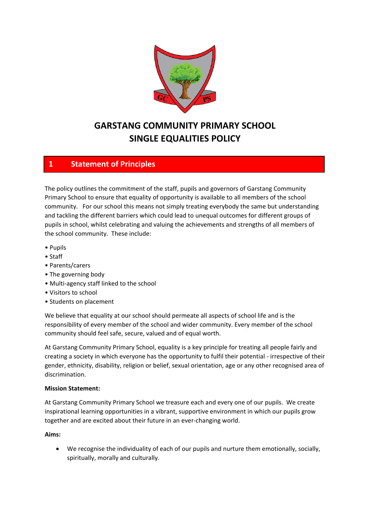

# **GARSTANG COMMUNITY PRIMARY SCHOOL SINGLE EQUALITIES POLICY**

# **1 Statement of Principles**

The policy outlines the commitment of the staff, pupils and governors of Garstang Community Primary School to ensure that equality of opportunity is available to all members of the school community. For our school this means not simply treating everybody the same but understanding and tackling the different barriers which could lead to unequal outcomes for different groups of pupils in school, whilst celebrating and valuing the achievements and strengths of all members of the school community. These include:

- Pupils
- Staff
- Parents/carers
- The governing body
- Multi-agency staff linked to the school
- Visitors to school
- Students on placement

We believe that equality at our school should permeate all aspects of school life and is the responsibility of every member of the school and wider community. Every member of the school community should feel safe, secure, valued and of equal worth.

At Garstang Community Primary School, equality is a key principle for treating all people fairly and creating a society in which everyone has the opportunity to fulfil their potential - irrespective of their gender, ethnicity, disability, religion or belief, sexual orientation, age or any other recognised area of discrimination.

### **Mission Statement:**

At Garstang Community Primary School we treasure each and every one of our pupils. We create inspirational learning opportunities in a vibrant, supportive environment in which our pupils grow together and are excited about their future in an ever-changing world.

#### **Aims:**

• We recognise the individuality of each of our pupils and nurture them emotionally, socially, spiritually, morally and culturally.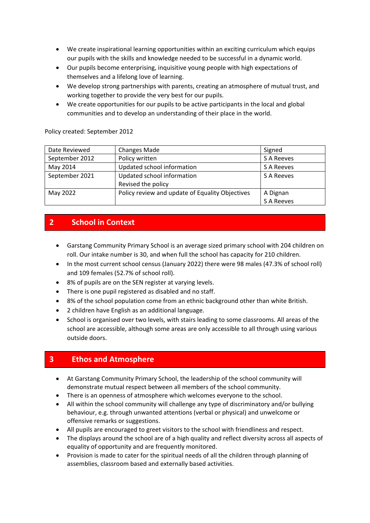- We create inspirational learning opportunities within an exciting curriculum which equips our pupils with the skills and knowledge needed to be successful in a dynamic world.
- Our pupils become enterprising, inquisitive young people with high expectations of themselves and a lifelong love of learning.
- We develop strong partnerships with parents, creating an atmosphere of mutual trust, and working together to provide the very best for our pupils.
- We create opportunities for our pupils to be active participants in the local and global communities and to develop an understanding of their place in the world.

Policy created: September 2012

| Date Reviewed  | <b>Changes Made</b>                             | Signed     |
|----------------|-------------------------------------------------|------------|
| September 2012 | Policy written                                  | S A Reeves |
| May 2014       | Updated school information                      | S A Reeves |
| September 2021 | Updated school information                      | S A Reeves |
|                | Revised the policy                              |            |
| May 2022       | Policy review and update of Equality Objectives | A Dignan   |
|                |                                                 | S A Reeves |

# **2 School in Context**

- Garstang Community Primary School is an average sized primary school with 204 children on roll. Our intake number is 30, and when full the school has capacity for 210 children.
- In the most current school census (January 2022) there were 98 males (47.3% of school roll) and 109 females (52.7% of school roll).
- 8% of pupils are on the SEN register at varying levels.
- There is one pupil registered as disabled and no staff.
- 8% of the school population come from an ethnic background other than white British.
- 2 children have English as an additional language.
- School is organised over two levels, with stairs leading to some classrooms. All areas of the school are accessible, although some areas are only accessible to all through using various outside doors.

# **3 Ethos and Atmosphere**

- At Garstang Community Primary School, the leadership of the school community will demonstrate mutual respect between all members of the school community.
- There is an openness of atmosphere which welcomes everyone to the school.
- All within the school community will challenge any type of discriminatory and/or bullying behaviour, e.g. through unwanted attentions (verbal or physical) and unwelcome or offensive remarks or suggestions.
- All pupils are encouraged to greet visitors to the school with friendliness and respect.
- The displays around the school are of a high quality and reflect diversity across all aspects of equality of opportunity and are frequently monitored.
- Provision is made to cater for the spiritual needs of all the children through planning of assemblies, classroom based and externally based activities.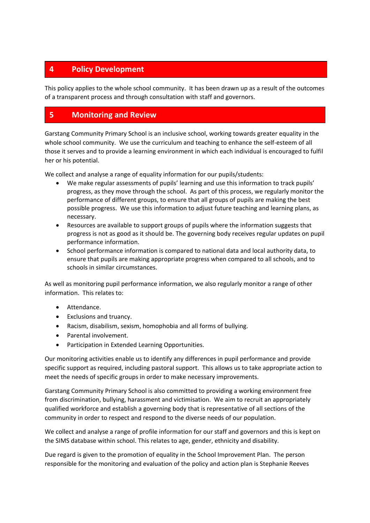# **4 Policy Development**

This policy applies to the whole school community. It has been drawn up as a result of the outcomes of a transparent process and through consultation with staff and governors.

# **5 Monitoring and Review**

Garstang Community Primary School is an inclusive school, working towards greater equality in the whole school community. We use the curriculum and teaching to enhance the self-esteem of all those it serves and to provide a learning environment in which each individual is encouraged to fulfil her or his potential.

We collect and analyse a range of equality information for our pupils/students:

- We make regular assessments of pupils' learning and use this information to track pupils' progress, as they move through the school. As part of this process, we regularly monitor the performance of different groups, to ensure that all groups of pupils are making the best possible progress. We use this information to adjust future teaching and learning plans, as necessary.
- Resources are available to support groups of pupils where the information suggests that progress is not as good as it should be. The governing body receives regular updates on pupil performance information.
- School performance information is compared to national data and local authority data, to ensure that pupils are making appropriate progress when compared to all schools, and to schools in similar circumstances.

As well as monitoring pupil performance information, we also regularly monitor a range of other information. This relates to:

- Attendance.
- Exclusions and truancy.
- Racism, disabilism, sexism, homophobia and all forms of bullying.
- Parental involvement.
- Participation in Extended Learning Opportunities.

Our monitoring activities enable us to identify any differences in pupil performance and provide specific support as required, including pastoral support. This allows us to take appropriate action to meet the needs of specific groups in order to make necessary improvements.

Garstang Community Primary School is also committed to providing a working environment free from discrimination, bullying, harassment and victimisation. We aim to recruit an appropriately qualified workforce and establish a governing body that is representative of all sections of the community in order to respect and respond to the diverse needs of our population.

We collect and analyse a range of profile information for our staff and governors and this is kept on the SIMS database within school. This relates to age, gender, ethnicity and disability.

Due regard is given to the promotion of equality in the School Improvement Plan. The person responsible for the monitoring and evaluation of the policy and action plan is Stephanie Reeves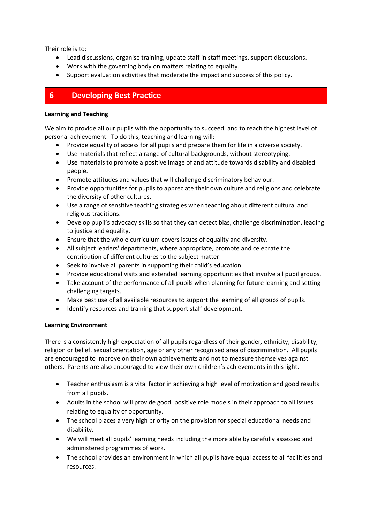Their role is to:

- Lead discussions, organise training, update staff in staff meetings, support discussions.
- Work with the governing body on matters relating to equality.
- Support evaluation activities that moderate the impact and success of this policy.

### **6 Developing Best Practice**

#### **Learning and Teaching**

We aim to provide all our pupils with the opportunity to succeed, and to reach the highest level of personal achievement. To do this, teaching and learning will:

- Provide equality of access for all pupils and prepare them for life in a diverse society.
- Use materials that reflect a range of cultural backgrounds, without stereotyping.
- Use materials to promote a positive image of and attitude towards disability and disabled people.
- Promote attitudes and values that will challenge discriminatory behaviour.
- Provide opportunities for pupils to appreciate their own culture and religions and celebrate the diversity of other cultures.
- Use a range of sensitive teaching strategies when teaching about different cultural and religious traditions.
- Develop pupil's advocacy skills so that they can detect bias, challenge discrimination, leading to justice and equality.
- Ensure that the whole curriculum covers issues of equality and diversity.
- All subject leaders' departments, where appropriate, promote and celebrate the contribution of different cultures to the subject matter.
- Seek to involve all parents in supporting their child's education.
- Provide educational visits and extended learning opportunities that involve all pupil groups.
- Take account of the performance of all pupils when planning for future learning and setting challenging targets.
- Make best use of all available resources to support the learning of all groups of pupils.
- Identify resources and training that support staff development.

### **Learning Environment**

There is a consistently high expectation of all pupils regardless of their gender, ethnicity, disability, religion or belief, sexual orientation, age or any other recognised area of discrimination. All pupils are encouraged to improve on their own achievements and not to measure themselves against others. Parents are also encouraged to view their own children's achievements in this light.

- Teacher enthusiasm is a vital factor in achieving a high level of motivation and good results from all pupils.
- Adults in the school will provide good, positive role models in their approach to all issues relating to equality of opportunity.
- The school places a very high priority on the provision for special educational needs and disability.
- We will meet all pupils' learning needs including the more able by carefully assessed and administered programmes of work.
- The school provides an environment in which all pupils have equal access to all facilities and resources.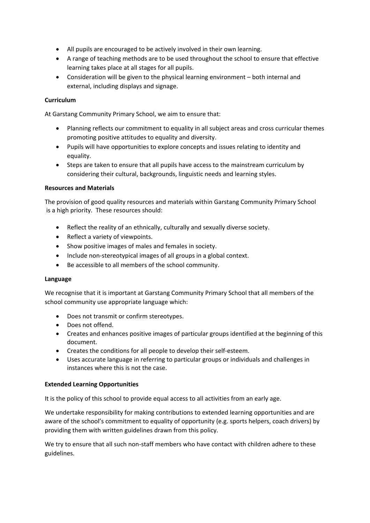- All pupils are encouraged to be actively involved in their own learning.
- A range of teaching methods are to be used throughout the school to ensure that effective learning takes place at all stages for all pupils.
- Consideration will be given to the physical learning environment both internal and external, including displays and signage.

#### **Curriculum**

At Garstang Community Primary School, we aim to ensure that:

- Planning reflects our commitment to equality in all subject areas and cross curricular themes promoting positive attitudes to equality and diversity.
- Pupils will have opportunities to explore concepts and issues relating to identity and equality.
- Steps are taken to ensure that all pupils have access to the mainstream curriculum by considering their cultural, backgrounds, linguistic needs and learning styles.

#### **Resources and Materials**

The provision of good quality resources and materials within Garstang Community Primary School is a high priority. These resources should:

- Reflect the reality of an ethnically, culturally and sexually diverse society.
- Reflect a variety of viewpoints.
- Show positive images of males and females in society.
- Include non-stereotypical images of all groups in a global context.
- Be accessible to all members of the school community.

#### **Language**

We recognise that it is important at Garstang Community Primary School that all members of the school community use appropriate language which:

- Does not transmit or confirm stereotypes.
- Does not offend.
- Creates and enhances positive images of particular groups identified at the beginning of this document.
- Creates the conditions for all people to develop their self-esteem.
- Uses accurate language in referring to particular groups or individuals and challenges in instances where this is not the case.

#### **Extended Learning Opportunities**

It is the policy of this school to provide equal access to all activities from an early age.

We undertake responsibility for making contributions to extended learning opportunities and are aware of the school's commitment to equality of opportunity (e.g. sports helpers, coach drivers) by providing them with written guidelines drawn from this policy.

We try to ensure that all such non-staff members who have contact with children adhere to these guidelines.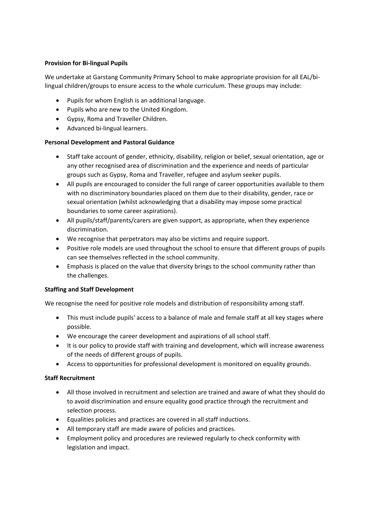### **Provision for Bi-lingual Pupils**

We undertake at Garstang Community Primary School to make appropriate provision for all EAL/bilingual children/groups to ensure access to the whole curriculum. These groups may include:

- Pupils for whom English is an additional language.
- Pupils who are new to the United Kingdom.
- Gypsy, Roma and Traveller Children.
- Advanced bi-lingual learners.

#### **Personal Development and Pastoral Guidance**

- Staff take account of gender, ethnicity, disability, religion or belief, sexual orientation, age or any other recognised area of discrimination and the experience and needs of particular groups such as Gypsy, Roma and Traveller, refugee and asylum seeker pupils.
- All pupils are encouraged to consider the full range of career opportunities available to them with no discriminatory boundaries placed on them due to their disability, gender, race or sexual orientation (whilst acknowledging that a disability may impose some practical boundaries to some career aspirations).
- All pupils/staff/parents/carers are given support, as appropriate, when they experience discrimination.
- We recognise that perpetrators may also be victims and require support.
- Positive role models are used throughout the school to ensure that different groups of pupils can see themselves reflected in the school community.
- Emphasis is placed on the value that diversity brings to the school community rather than the challenges.

#### **Staffing and Staff Development**

We recognise the need for positive role models and distribution of responsibility among staff.

- This must include pupils' access to a balance of male and female staff at all key stages where possible.
- We encourage the career development and aspirations of all school staff.
- It is our policy to provide staff with training and development, which will increase awareness of the needs of different groups of pupils.
- Access to opportunities for professional development is monitored on equality grounds.

#### **Staff Recruitment**

- All those involved in recruitment and selection are trained and aware of what they should do to avoid discrimination and ensure equality good practice through the recruitment and selection process.
- Equalities policies and practices are covered in all staff inductions.
- All temporary staff are made aware of policies and practices.
- Employment policy and procedures are reviewed regularly to check conformity with legislation and impact.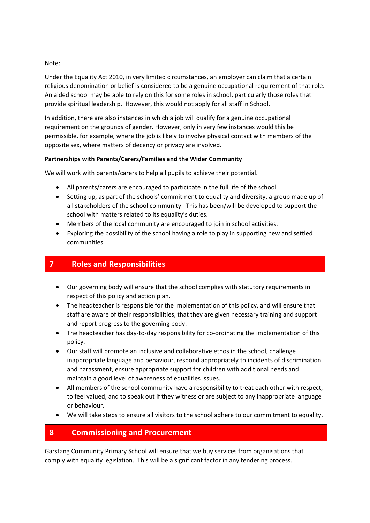#### Note:

Under the Equality Act 2010, in very limited circumstances, an employer can claim that a certain religious denomination or belief is considered to be a genuine occupational requirement of that role. An aided school may be able to rely on this for some roles in school, particularly those roles that provide spiritual leadership. However, this would not apply for all staff in School.

In addition, there are also instances in which a job will qualify for a genuine occupational requirement on the grounds of gender. However, only in very few instances would this be permissible, for example, where the job is likely to involve physical contact with members of the opposite sex, where matters of decency or privacy are involved.

#### **Partnerships with Parents/Carers/Families and the Wider Community**

We will work with parents/carers to help all pupils to achieve their potential.

- All parents/carers are encouraged to participate in the full life of the school.
- Setting up, as part of the schools' commitment to equality and diversity, a group made up of all stakeholders of the school community. This has been/will be developed to support the school with matters related to its equality's duties.
- Members of the local community are encouraged to join in school activities.
- Exploring the possibility of the school having a role to play in supporting new and settled communities.

# **7 Roles and Responsibilities**

- Our governing body will ensure that the school complies with statutory requirements in respect of this policy and action plan.
- The headteacher is responsible for the implementation of this policy, and will ensure that staff are aware of their responsibilities, that they are given necessary training and support and report progress to the governing body.
- The headteacher has day-to-day responsibility for co-ordinating the implementation of this policy.
- Our staff will promote an inclusive and collaborative ethos in the school, challenge inappropriate language and behaviour, respond appropriately to incidents of discrimination and harassment, ensure appropriate support for children with additional needs and maintain a good level of awareness of equalities issues.
- All members of the school community have a responsibility to treat each other with respect, to feel valued, and to speak out if they witness or are subject to any inappropriate language or behaviour.
- We will take steps to ensure all visitors to the school adhere to our commitment to equality.

# **8 Commissioning and Procurement**

Garstang Community Primary School will ensure that we buy services from organisations that comply with equality legislation. This will be a significant factor in any tendering process.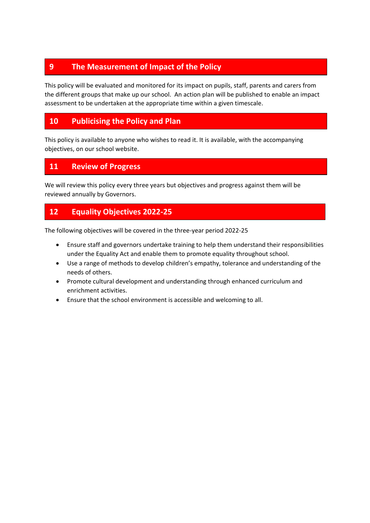# **9 The Measurement of Impact of the Policy**

This policy will be evaluated and monitored for its impact on pupils, staff, parents and carers from the different groups that make up our school. An action plan will be published to enable an impact assessment to be undertaken at the appropriate time within a given timescale.

# **10 Publicising the Policy and Plan**

This policy is available to anyone who wishes to read it. It is available, with the accompanying objectives, on our school website.

### **11 Review of Progress**

We will review this policy every three years but objectives and progress against them will be reviewed annually by Governors.

# **12 Equality Objectives 2022-25**

The following objectives will be covered in the three-year period 2022-25

- Ensure staff and governors undertake training to help them understand their responsibilities under the Equality Act and enable them to promote equality throughout school.
- Use a range of methods to develop children's empathy, tolerance and understanding of the needs of others.
- Promote cultural development and understanding through enhanced curriculum and enrichment activities.
- Ensure that the school environment is accessible and welcoming to all.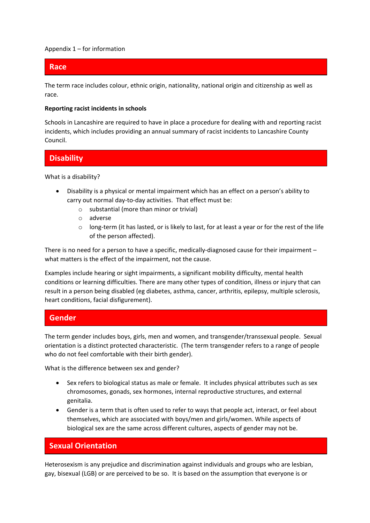#### Appendix  $1$  – for information

### **Race**

The term race includes colour, ethnic origin, nationality, national origin and citizenship as well as race.

#### **Reporting racist incidents in schools**

Schools in Lancashire are required to have in place a procedure for dealing with and reporting racist incidents, which includes providing an annual summary of racist incidents to Lancashire County Council.

### **Disability**

What is a disability?

- Disability is a physical or mental impairment which has an effect on a person's ability to carry out normal day-to-day activities. That effect must be:
	- o substantial (more than minor or trivial)
	- o adverse
	- o long-term (it has lasted, or is likely to last, for at least a year or for the rest of the life of the person affected).

There is no need for a person to have a specific, medically-diagnosed cause for their impairment – what matters is the effect of the impairment, not the cause.

Examples include hearing or sight impairments, a significant mobility difficulty, mental health conditions or learning difficulties. There are many other types of condition, illness or injury that can result in a person being disabled (eg diabetes, asthma, cancer, arthritis, epilepsy, multiple sclerosis, heart conditions, facial disfigurement).

### **Gender**

The term gender includes boys, girls, men and women, and transgender/transsexual people. Sexual orientation is a distinct protected characteristic. (The term transgender refers to a range of people who do not feel comfortable with their birth gender).

What is the difference between sex and gender?

- Sex refers to biological status as male or female. It includes physical attributes such as sex chromosomes, gonads, sex hormones, internal reproductive structures, and external genitalia.
- Gender is a term that is often used to refer to ways that people act, interact, or feel about themselves, which are associated with boys/men and girls/women. While aspects of biological sex are the same across different cultures, aspects of gender may not be.

### **Sexual Orientation**

Heterosexism is any prejudice and discrimination against individuals and groups who are lesbian, gay, bisexual (LGB) or are perceived to be so. It is based on the assumption that everyone is or